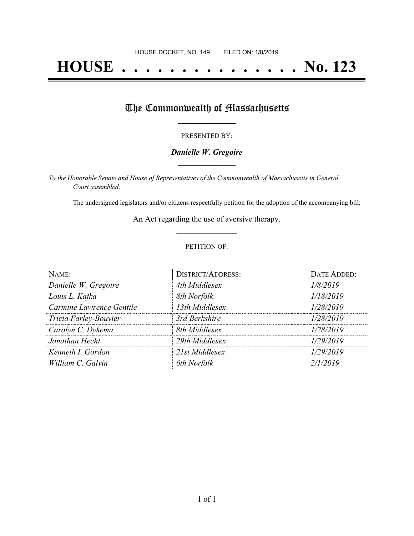# **HOUSE . . . . . . . . . . . . . . . No. 123**

## The Commonwealth of Massachusetts

#### PRESENTED BY:

#### *Danielle W. Gregoire* **\_\_\_\_\_\_\_\_\_\_\_\_\_\_\_\_\_**

*To the Honorable Senate and House of Representatives of the Commonwealth of Massachusetts in General Court assembled:*

The undersigned legislators and/or citizens respectfully petition for the adoption of the accompanying bill:

An Act regarding the use of aversive therapy. **\_\_\_\_\_\_\_\_\_\_\_\_\_\_\_**

#### PETITION OF:

| NAME:                    | <b>DISTRICT/ADDRESS:</b> | DATE ADDED: |
|--------------------------|--------------------------|-------------|
| Danielle W. Gregoire     | 4th Middlesex            | 1/8/2019    |
| Louis L. Kafka           | 8th Norfolk              | 1/18/2019   |
| Carmine Lawrence Gentile | 13th Middlesex           | 1/28/2019   |
| Tricia Farley-Bouvier    | 3rd Berkshire            | 1/28/2019   |
| Carolyn C. Dykema        | 8th Middlesex            | 1/28/2019   |
| Jonathan Hecht           | 29th Middlesex           | 1/29/2019   |
| Kenneth I. Gordon        | 21st Middlesex           | 1/29/2019   |
| William C. Galvin        | 6th Norfolk              | 2/1/2019    |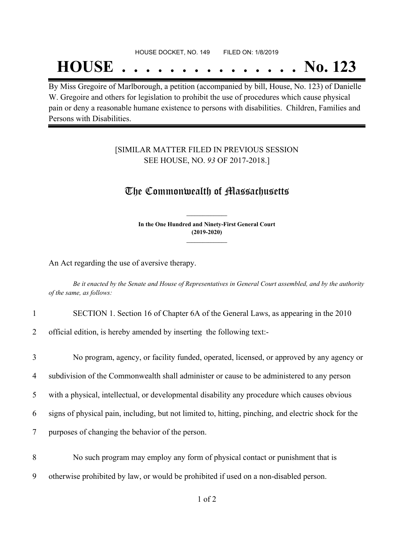## **HOUSE . . . . . . . . . . . . . . . No. 123**

By Miss Gregoire of Marlborough, a petition (accompanied by bill, House, No. 123) of Danielle W. Gregoire and others for legislation to prohibit the use of procedures which cause physical pain or deny a reasonable humane existence to persons with disabilities. Children, Families and Persons with Disabilities.

#### [SIMILAR MATTER FILED IN PREVIOUS SESSION SEE HOUSE, NO. *93* OF 2017-2018.]

### The Commonwealth of Massachusetts

**In the One Hundred and Ninety-First General Court (2019-2020) \_\_\_\_\_\_\_\_\_\_\_\_\_\_\_**

**\_\_\_\_\_\_\_\_\_\_\_\_\_\_\_**

An Act regarding the use of aversive therapy.

Be it enacted by the Senate and House of Representatives in General Court assembled, and by the authority *of the same, as follows:*

1 SECTION 1. Section 16 of Chapter 6A of the General Laws, as appearing in the 2010

2 official edition, is hereby amended by inserting the following text:-

 No program, agency, or facility funded, operated, licensed, or approved by any agency or subdivision of the Commonwealth shall administer or cause to be administered to any person with a physical, intellectual, or developmental disability any procedure which causes obvious signs of physical pain, including, but not limited to, hitting, pinching, and electric shock for the purposes of changing the behavior of the person.

8 No such program may employ any form of physical contact or punishment that is 9 otherwise prohibited by law, or would be prohibited if used on a non-disabled person.